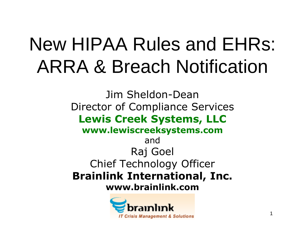#### New HIPAA Rules and EHRs: ARRA & Breach Notification

Jim Sheldon-Dean Director of Compliance Services **Lewis Creek Systems, LLC www.lewiscreeksystems.com** and Raj Goel Chief Technology Officer **Brainlink International, Inc. www.brainlink.com**

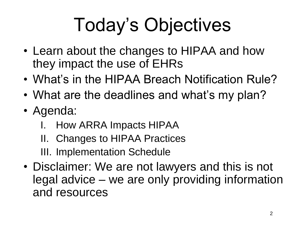# Today's Objectives

- Learn about the changes to HIPAA and how they impact the use of EHRs
- What's in the HIPAA Breach Notification Rule?
- What are the deadlines and what's my plan?
- Agenda:
	- I. How ARRA Impacts HIPAA
	- II. Changes to HIPAA Practices
	- III. Implementation Schedule
- Disclaimer: We are not lawyers and this is not legal advice – we are only providing information and resources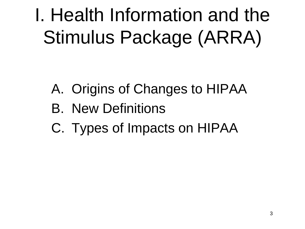I. Health Information and the Stimulus Package (ARRA)

- A. Origins of Changes to HIPAA
- B. New Definitions
- C. Types of Impacts on HIPAA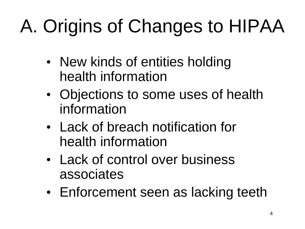# A. Origins of Changes to HIPAA

- New kinds of entities holding health information
- Objections to some uses of health information
- Lack of breach notification for health information
- Lack of control over business associates
- Enforcement seen as lacking teeth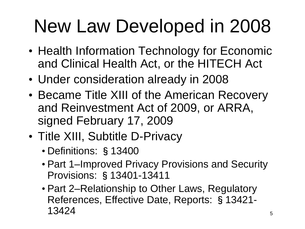### New Law Developed in 2008

- Health Information Technology for Economic and Clinical Health Act, or the HITECH Act
- Under consideration already in 2008
- Became Title XIII of the American Recovery and Reinvestment Act of 2009, or ARRA, signed February 17, 2009
- Title XIII, Subtitle D-Privacy
	- Definitions: §13400
	- Part 1–Improved Privacy Provisions and Security Provisions: §13401-13411
	- Part 2–Relationship to Other Laws, Regulatory References, Effective Date, Reports: §13421- 13424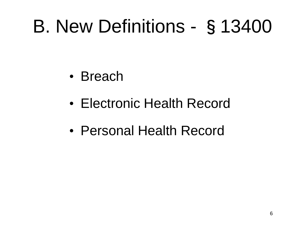#### B. New Definitions - §13400

- Breach
- Electronic Health Record
- Personal Health Record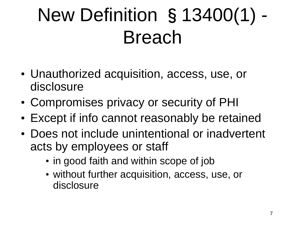## New Definition §13400(1) - Breach

- Unauthorized acquisition, access, use, or disclosure
- Compromises privacy or security of PHI
- Except if info cannot reasonably be retained
- Does not include unintentional or inadvertent acts by employees or staff
	- in good faith and within scope of job
	- without further acquisition, access, use, or disclosure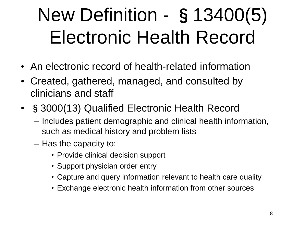# New Definition - §13400(5) Electronic Health Record

- An electronic record of health-related information
- Created, gathered, managed, and consulted by clinicians and staff
- §3000(13) Qualified Electronic Health Record
	- Includes patient demographic and clinical health information, such as medical history and problem lists
	- Has the capacity to:
		- Provide clinical decision support
		- Support physician order entry
		- Capture and query information relevant to health care quality
		- Exchange electronic health information from other sources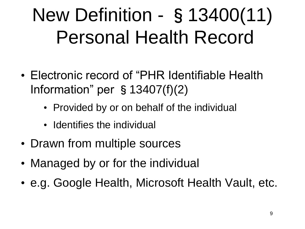## New Definition - §13400(11) Personal Health Record

- Electronic record of "PHR Identifiable Health Information" per §13407(f)(2)
	- Provided by or on behalf of the individual
	- Identifies the individual
- Drawn from multiple sources
- Managed by or for the individual
- e.g. Google Health, Microsoft Health Vault, etc.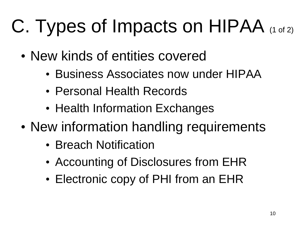# C. Types of Impacts on HIPAA (1 of 2)

- New kinds of entities covered
	- Business Associates now under HIPAA
	- Personal Health Records
	- Health Information Exchanges
- New information handling requirements
	- Breach Notification
	- Accounting of Disclosures from EHR
	- Electronic copy of PHI from an EHR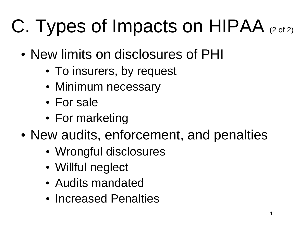# C. Types of Impacts on  $HIPAA$  (2 of 2)

- New limits on disclosures of PHI
	- To insurers, by request
	- Minimum necessary
	- For sale
	- For marketing
- New audits, enforcement, and penalties
	- Wrongful disclosures
	- Willful neglect
	- Audits mandated
	- Increased Penalties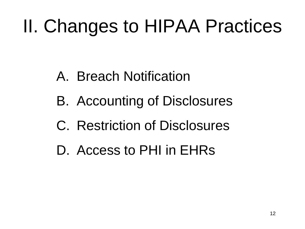## II. Changes to HIPAA Practices

- A. Breach Notification
- B. Accounting of Disclosures
- C. Restriction of Disclosures
- D. Access to PHI in EHRs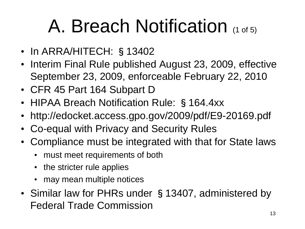### A. Breach Notification (1 of 5)

- In ARRA/HITECH: §13402
- Interim Final Rule published August 23, 2009, effective September 23, 2009, enforceable February 22, 2010
- CFR 45 Part 164 Subpart D
- HIPAA Breach Notification Rule: §164.4xx
- http://edocket.access.gpo.gov/2009/pdf/E9-20169.pdf
- Co-equal with Privacy and Security Rules
- Compliance must be integrated with that for State laws
	- must meet requirements of both
	- the stricter rule applies
	- may mean multiple notices
- Similar law for PHRs under §13407, administered by Federal Trade Commission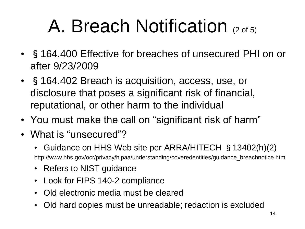## A. Breach Notification (2 of 5)

- §164.400 Effective for breaches of unsecured PHI on or after 9/23/2009
- §164.402 Breach is acquisition, access, use, or disclosure that poses a significant risk of financial, reputational, or other harm to the individual
- You must make the call on "significant risk of harm"
- What is "unsecured"?
	- Guidance on HHS Web site per ARRA/HITECH §13402(h)(2) http://www.hhs.gov/ocr/privacy/hipaa/understanding/coveredentities/guidance\_breachnotice.html
	- Refers to NIST guidance
	- Look for FIPS 140-2 compliance
	- Old electronic media must be cleared
	- Old hard copies must be unreadable; redaction is excluded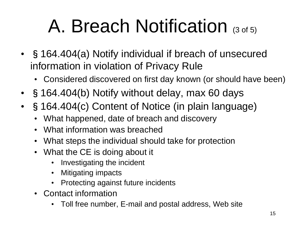## A. Breach Notification (3 of 5)

- §164.404(a) Notify individual if breach of unsecured information in violation of Privacy Rule
	- Considered discovered on first day known (or should have been)
- §164.404(b) Notify without delay, max 60 days
- §164.404(c) Content of Notice (in plain language)
	- What happened, date of breach and discovery
	- What information was breached
	- What steps the individual should take for protection
	- What the CE is doing about it
		- Investigating the incident
		- Mitigating impacts
		- Protecting against future incidents
	- Contact information
		- Toll free number, E-mail and postal address, Web site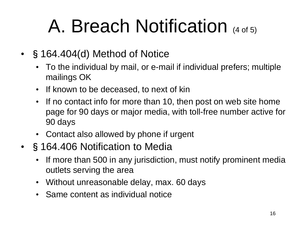## A. Breach Notification (4 of 5)

- §164.404(d) Method of Notice
	- To the individual by mail, or e-mail if individual prefers; multiple mailings OK
	- If known to be deceased, to next of kin
	- If no contact info for more than 10, then post on web site home page for 90 days or major media, with toll-free number active for 90 days
	- Contact also allowed by phone if urgent
- §164.406 Notification to Media
	- If more than 500 in any jurisdiction, must notify prominent media outlets serving the area
	- Without unreasonable delay, max. 60 days
	- Same content as individual notice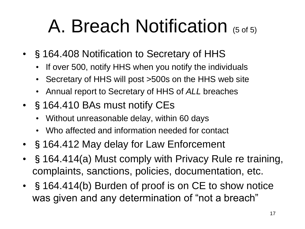#### A. Breach Notification (5 of 5)

- §164.408 Notification to Secretary of HHS
	- If over 500, notify HHS when you notify the individuals
	- Secretary of HHS will post >500s on the HHS web site
	- Annual report to Secretary of HHS of *ALL* breaches
- §164.410 BAs must notify CEs
	- Without unreasonable delay, within 60 days
	- Who affected and information needed for contact
- §164.412 May delay for Law Enforcement
- §164.414(a) Must comply with Privacy Rule re training, complaints, sanctions, policies, documentation, etc.
- §164.414(b) Burden of proof is on CE to show notice was given and any determination of "not a breach"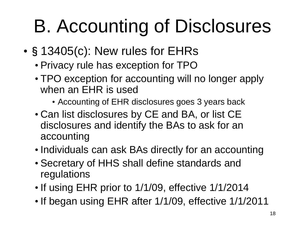# B. Accounting of Disclosures

- •§13405(c): New rules for EHRs
	- Privacy rule has exception for TPO
	- TPO exception for accounting will no longer apply when an EHR is used
		- Accounting of EHR disclosures goes 3 years back
	- Can list disclosures by CE and BA, or list CE disclosures and identify the BAs to ask for an accounting
	- Individuals can ask BAs directly for an accounting
	- Secretary of HHS shall define standards and regulations
	- If using EHR prior to 1/1/09, effective 1/1/2014
	- If began using EHR after 1/1/09, effective 1/1/2011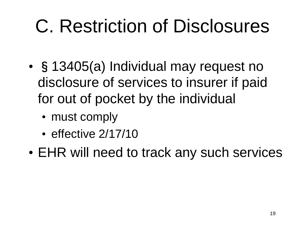## C. Restriction of Disclosures

- §13405(a) Individual may request no disclosure of services to insurer if paid for out of pocket by the individual
	- must comply
	- effective 2/17/10
- EHR will need to track any such services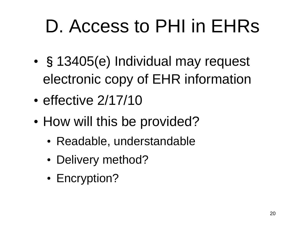# D. Access to PHI in EHRs

- §13405(e) Individual may request electronic copy of EHR information
- effective 2/17/10
- How will this be provided?
	- Readable, understandable
	- Delivery method?
	- Encryption?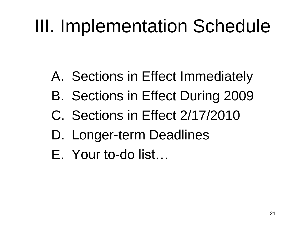## III. Implementation Schedule

- A. Sections in Effect Immediately
- B. Sections in Effect During 2009
- C. Sections in Effect 2/17/2010
- D. Longer-term Deadlines
- E. Your to-do list…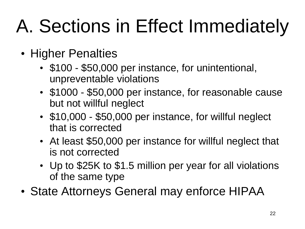# A. Sections in Effect Immediately

- Higher Penalties
	- \$100 \$50,000 per instance, for unintentional, unpreventable violations
	- \$1000 \$50,000 per instance, for reasonable cause but not willful neglect
	- \$10,000 \$50,000 per instance, for willful neglect that is corrected
	- At least \$50,000 per instance for willful neglect that is not corrected
	- Up to \$25K to \$1.5 million per year for all violations of the same type
- State Attorneys General may enforce HIPAA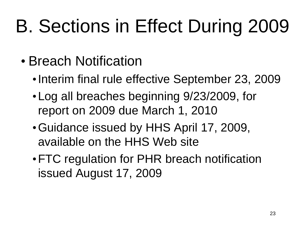# B. Sections in Effect During 2009

- Breach Notification
	- Interim final rule effective September 23, 2009
	- •Log all breaches beginning 9/23/2009, for report on 2009 due March 1, 2010
	- •Guidance issued by HHS April 17, 2009, available on the HHS Web site
	- •FTC regulation for PHR breach notification issued August 17, 2009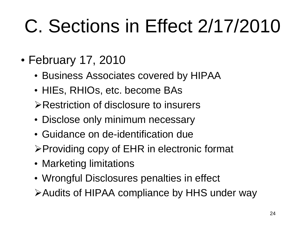# C. Sections in Effect 2/17/2010

- February 17, 2010
	- Business Associates covered by HIPAA
	- HIEs, RHIOs, etc. become BAs
	- Restriction of disclosure to insurers
	- Disclose only minimum necessary
	- Guidance on de-identification due
	- $\triangleright$  Providing copy of EHR in electronic format
	- Marketing limitations
	- Wrongful Disclosures penalties in effect
	- Audits of HIPAA compliance by HHS under way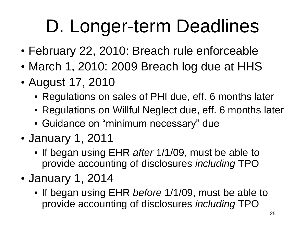# D. Longer-term Deadlines

- February 22, 2010: Breach rule enforceable
- March 1, 2010: 2009 Breach log due at HHS
- August 17, 2010
	- Regulations on sales of PHI due, eff. 6 months later
	- Regulations on Willful Neglect due, eff. 6 months later
	- Guidance on "minimum necessary" due
- January 1, 2011
	- If began using EHR *after* 1/1/09, must be able to provide accounting of disclosures *including* TPO
- January 1, 2014
	- If began using EHR *before* 1/1/09, must be able to provide accounting of disclosures *including* TPO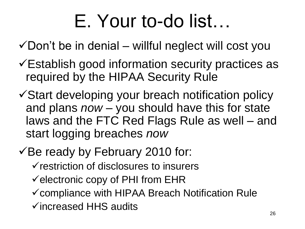### E. Your to-do list…

 $\checkmark$  Don't be in denial – willful neglect will cost you

- Establish good information security practices as required by the HIPAA Security Rule
- Start developing your breach notification policy and plans *now* – you should have this for state laws and the FTC Red Flags Rule as well – and start logging breaches *now*
- $\checkmark$ Be ready by February 2010 for:
	- $\checkmark$  restriction of disclosures to insurers
	- $\checkmark$  electronic copy of PHI from EHR
	- $\checkmark$  compliance with HIPAA Breach Notification Rule
	- $\checkmark$  increased HHS audits